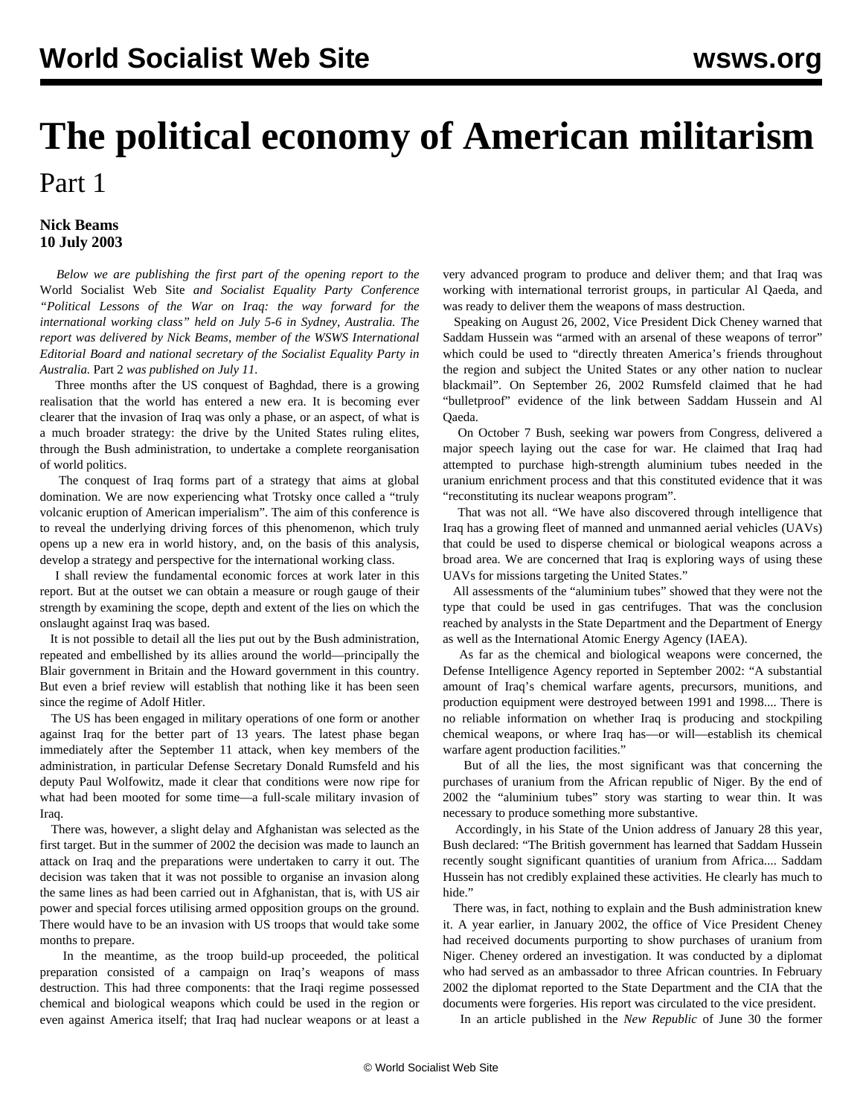# **The political economy of American militarism** Part 1

# **Nick Beams 10 July 2003**

 *Below we are publishing the first part of the opening report to the* World Socialist Web Site *and Socialist Equality Party Conference "Political Lessons of the War on Iraq: the way forward for the international working class" held on July 5-6 in Sydney, Australia. The report was delivered by Nick Beams, member of the WSWS International Editorial Board and national secretary of the Socialist Equality Party in Australia.* [Part 2](/en/articles/2003/07/nb2-j11.html) *was published on July 11.*

 Three months after the US conquest of Baghdad, there is a growing realisation that the world has entered a new era. It is becoming ever clearer that the invasion of Iraq was only a phase, or an aspect, of what is a much broader strategy: the drive by the United States ruling elites, through the Bush administration, to undertake a complete reorganisation of world politics.

 The conquest of Iraq forms part of a strategy that aims at global domination. We are now experiencing what Trotsky once called a "truly volcanic eruption of American imperialism". The aim of this conference is to reveal the underlying driving forces of this phenomenon, which truly opens up a new era in world history, and, on the basis of this analysis, develop a strategy and perspective for the international working class.

 I shall review the fundamental economic forces at work later in this report. But at the outset we can obtain a measure or rough gauge of their strength by examining the scope, depth and extent of the lies on which the onslaught against Iraq was based.

 It is not possible to detail all the lies put out by the Bush administration, repeated and embellished by its allies around the world—principally the Blair government in Britain and the Howard government in this country. But even a brief review will establish that nothing like it has been seen since the regime of Adolf Hitler.

 The US has been engaged in military operations of one form or another against Iraq for the better part of 13 years. The latest phase began immediately after the September 11 attack, when key members of the administration, in particular Defense Secretary Donald Rumsfeld and his deputy Paul Wolfowitz, made it clear that conditions were now ripe for what had been mooted for some time—a full-scale military invasion of Iraq.

 There was, however, a slight delay and Afghanistan was selected as the first target. But in the summer of 2002 the decision was made to launch an attack on Iraq and the preparations were undertaken to carry it out. The decision was taken that it was not possible to organise an invasion along the same lines as had been carried out in Afghanistan, that is, with US air power and special forces utilising armed opposition groups on the ground. There would have to be an invasion with US troops that would take some months to prepare.

 In the meantime, as the troop build-up proceeded, the political preparation consisted of a campaign on Iraq's weapons of mass destruction. This had three components: that the Iraqi regime possessed chemical and biological weapons which could be used in the region or even against America itself; that Iraq had nuclear weapons or at least a

very advanced program to produce and deliver them; and that Iraq was working with international terrorist groups, in particular Al Qaeda, and was ready to deliver them the weapons of mass destruction.

 Speaking on August 26, 2002, Vice President Dick Cheney warned that Saddam Hussein was "armed with an arsenal of these weapons of terror" which could be used to "directly threaten America's friends throughout the region and subject the United States or any other nation to nuclear blackmail". On September 26, 2002 Rumsfeld claimed that he had "bulletproof" evidence of the link between Saddam Hussein and Al Qaeda.

 On October 7 Bush, seeking war powers from Congress, delivered a major speech laying out the case for war. He claimed that Iraq had attempted to purchase high-strength aluminium tubes needed in the uranium enrichment process and that this constituted evidence that it was "reconstituting its nuclear weapons program".

 That was not all. "We have also discovered through intelligence that Iraq has a growing fleet of manned and unmanned aerial vehicles (UAVs) that could be used to disperse chemical or biological weapons across a broad area. We are concerned that Iraq is exploring ways of using these UAVs for missions targeting the United States."

 All assessments of the "aluminium tubes" showed that they were not the type that could be used in gas centrifuges. That was the conclusion reached by analysts in the State Department and the Department of Energy as well as the International Atomic Energy Agency (IAEA).

 As far as the chemical and biological weapons were concerned, the Defense Intelligence Agency reported in September 2002: "A substantial amount of Iraq's chemical warfare agents, precursors, munitions, and production equipment were destroyed between 1991 and 1998.... There is no reliable information on whether Iraq is producing and stockpiling chemical weapons, or where Iraq has—or will—establish its chemical warfare agent production facilities.'

 But of all the lies, the most significant was that concerning the purchases of uranium from the African republic of Niger. By the end of 2002 the "aluminium tubes" story was starting to wear thin. It was necessary to produce something more substantive.

 Accordingly, in his State of the Union address of January 28 this year, Bush declared: "The British government has learned that Saddam Hussein recently sought significant quantities of uranium from Africa.... Saddam Hussein has not credibly explained these activities. He clearly has much to hide."

 There was, in fact, nothing to explain and the Bush administration knew it. A year earlier, in January 2002, the office of Vice President Cheney had received documents purporting to show purchases of uranium from Niger. Cheney ordered an investigation. It was conducted by a diplomat who had served as an ambassador to three African countries. In February 2002 the diplomat reported to the State Department and the CIA that the documents were forgeries. His report was circulated to the vice president.

In an article published in the *New Republic* of June 30 the former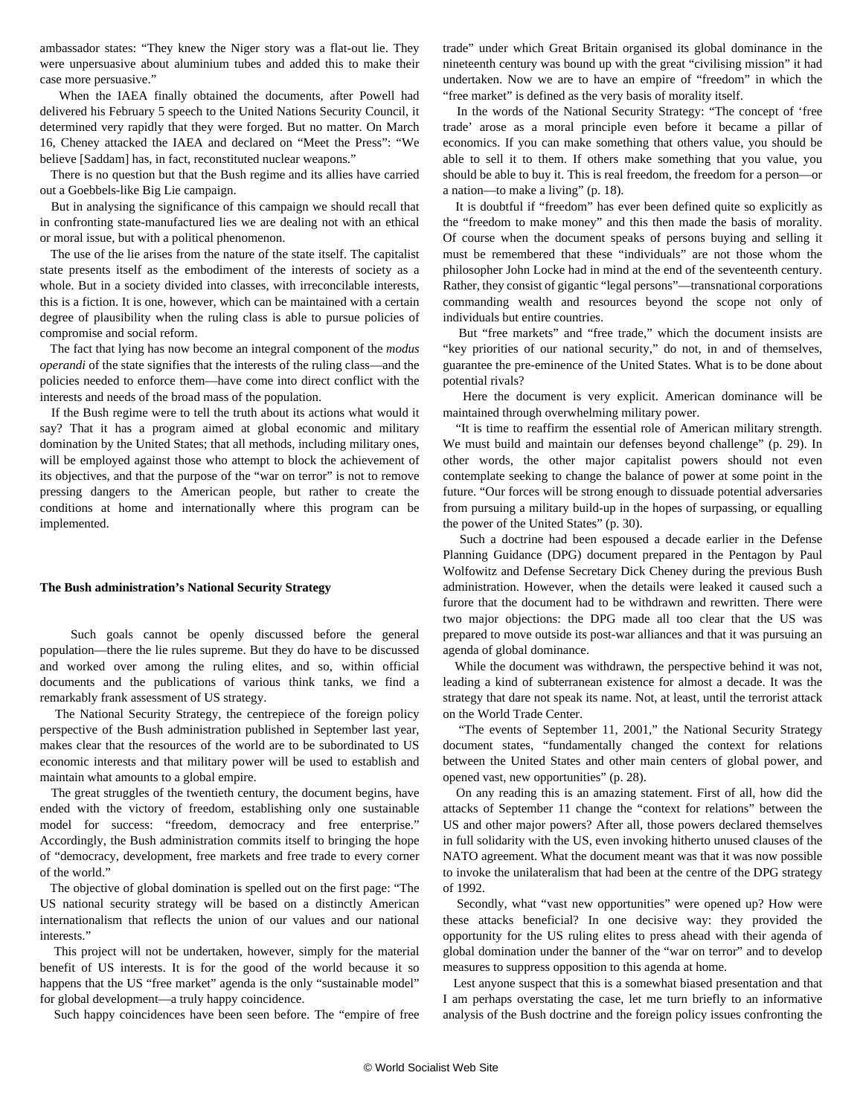ambassador states: "They knew the Niger story was a flat-out lie. They were unpersuasive about aluminium tubes and added this to make their case more persuasive."

 When the IAEA finally obtained the documents, after Powell had delivered his February 5 speech to the United Nations Security Council, it determined very rapidly that they were forged. But no matter. On March 16, Cheney attacked the IAEA and declared on "Meet the Press": "We believe [Saddam] has, in fact, reconstituted nuclear weapons."

 There is no question but that the Bush regime and its allies have carried out a Goebbels-like Big Lie campaign.

 But in analysing the significance of this campaign we should recall that in confronting state-manufactured lies we are dealing not with an ethical or moral issue, but with a political phenomenon.

 The use of the lie arises from the nature of the state itself. The capitalist state presents itself as the embodiment of the interests of society as a whole. But in a society divided into classes, with irreconcilable interests, this is a fiction. It is one, however, which can be maintained with a certain degree of plausibility when the ruling class is able to pursue policies of compromise and social reform.

 The fact that lying has now become an integral component of the *modus operandi* of the state signifies that the interests of the ruling class—and the policies needed to enforce them—have come into direct conflict with the interests and needs of the broad mass of the population.

 If the Bush regime were to tell the truth about its actions what would it say? That it has a program aimed at global economic and military domination by the United States; that all methods, including military ones, will be employed against those who attempt to block the achievement of its objectives, and that the purpose of the "war on terror" is not to remove pressing dangers to the American people, but rather to create the conditions at home and internationally where this program can be implemented.

## **The Bush administration's National Security Strategy**

 Such goals cannot be openly discussed before the general population—there the lie rules supreme. But they do have to be discussed and worked over among the ruling elites, and so, within official documents and the publications of various think tanks, we find a remarkably frank assessment of US strategy.

 The National Security Strategy, the centrepiece of the foreign policy perspective of the Bush administration published in September last year, makes clear that the resources of the world are to be subordinated to US economic interests and that military power will be used to establish and maintain what amounts to a global empire.

 The great struggles of the twentieth century, the document begins, have ended with the victory of freedom, establishing only one sustainable model for success: "freedom, democracy and free enterprise." Accordingly, the Bush administration commits itself to bringing the hope of "democracy, development, free markets and free trade to every corner of the world."

 The objective of global domination is spelled out on the first page: "The US national security strategy will be based on a distinctly American internationalism that reflects the union of our values and our national interests."

 This project will not be undertaken, however, simply for the material benefit of US interests. It is for the good of the world because it so happens that the US "free market" agenda is the only "sustainable model" for global development—a truly happy coincidence.

Such happy coincidences have been seen before. The "empire of free

trade" under which Great Britain organised its global dominance in the nineteenth century was bound up with the great "civilising mission" it had undertaken. Now we are to have an empire of "freedom" in which the "free market" is defined as the very basis of morality itself.

 In the words of the National Security Strategy: "The concept of 'free trade' arose as a moral principle even before it became a pillar of economics. If you can make something that others value, you should be able to sell it to them. If others make something that you value, you should be able to buy it. This is real freedom, the freedom for a person—or a nation—to make a living" (p. 18).

 It is doubtful if "freedom" has ever been defined quite so explicitly as the "freedom to make money" and this then made the basis of morality. Of course when the document speaks of persons buying and selling it must be remembered that these "individuals" are not those whom the philosopher John Locke had in mind at the end of the seventeenth century. Rather, they consist of gigantic "legal persons"—transnational corporations commanding wealth and resources beyond the scope not only of individuals but entire countries.

 But "free markets" and "free trade," which the document insists are "key priorities of our national security," do not, in and of themselves, guarantee the pre-eminence of the United States. What is to be done about potential rivals?

 Here the document is very explicit. American dominance will be maintained through overwhelming military power.

 "It is time to reaffirm the essential role of American military strength. We must build and maintain our defenses beyond challenge" (p. 29). In other words, the other major capitalist powers should not even contemplate seeking to change the balance of power at some point in the future. "Our forces will be strong enough to dissuade potential adversaries from pursuing a military build-up in the hopes of surpassing, or equalling the power of the United States" (p. 30).

 Such a doctrine had been espoused a decade earlier in the Defense Planning Guidance (DPG) document prepared in the Pentagon by Paul Wolfowitz and Defense Secretary Dick Cheney during the previous Bush administration. However, when the details were leaked it caused such a furore that the document had to be withdrawn and rewritten. There were two major objections: the DPG made all too clear that the US was prepared to move outside its post-war alliances and that it was pursuing an agenda of global dominance.

 While the document was withdrawn, the perspective behind it was not, leading a kind of subterranean existence for almost a decade. It was the strategy that dare not speak its name. Not, at least, until the terrorist attack on the World Trade Center.

 "The events of September 11, 2001," the National Security Strategy document states, "fundamentally changed the context for relations between the United States and other main centers of global power, and opened vast, new opportunities" (p. 28).

 On any reading this is an amazing statement. First of all, how did the attacks of September 11 change the "context for relations" between the US and other major powers? After all, those powers declared themselves in full solidarity with the US, even invoking hitherto unused clauses of the NATO agreement. What the document meant was that it was now possible to invoke the unilateralism that had been at the centre of the DPG strategy of 1992.

 Secondly, what "vast new opportunities" were opened up? How were these attacks beneficial? In one decisive way: they provided the opportunity for the US ruling elites to press ahead with their agenda of global domination under the banner of the "war on terror" and to develop measures to suppress opposition to this agenda at home.

 Lest anyone suspect that this is a somewhat biased presentation and that I am perhaps overstating the case, let me turn briefly to an informative analysis of the Bush doctrine and the foreign policy issues confronting the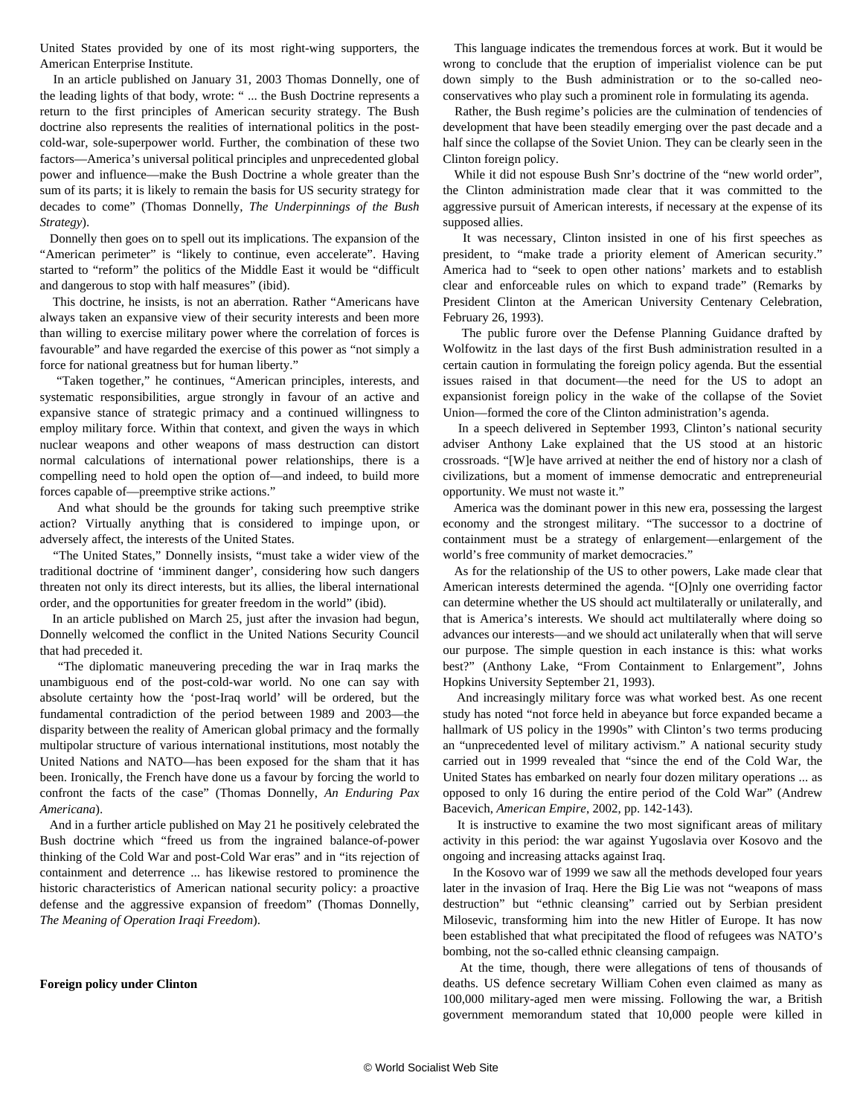United States provided by one of its most right-wing supporters, the American Enterprise Institute.

 In an article published on January 31, 2003 Thomas Donnelly, one of the leading lights of that body, wrote: " ... the Bush Doctrine represents a return to the first principles of American security strategy. The Bush doctrine also represents the realities of international politics in the postcold-war, sole-superpower world. Further, the combination of these two factors—America's universal political principles and unprecedented global power and influence—make the Bush Doctrine a whole greater than the sum of its parts; it is likely to remain the basis for US security strategy for decades to come" (Thomas Donnelly, *The Underpinnings of the Bush Strategy*).

 Donnelly then goes on to spell out its implications. The expansion of the "American perimeter" is "likely to continue, even accelerate". Having started to "reform" the politics of the Middle East it would be "difficult and dangerous to stop with half measures" (ibid).

 This doctrine, he insists, is not an aberration. Rather "Americans have always taken an expansive view of their security interests and been more than willing to exercise military power where the correlation of forces is favourable" and have regarded the exercise of this power as "not simply a force for national greatness but for human liberty."

 "Taken together," he continues, "American principles, interests, and systematic responsibilities, argue strongly in favour of an active and expansive stance of strategic primacy and a continued willingness to employ military force. Within that context, and given the ways in which nuclear weapons and other weapons of mass destruction can distort normal calculations of international power relationships, there is a compelling need to hold open the option of—and indeed, to build more forces capable of—preemptive strike actions."

 And what should be the grounds for taking such preemptive strike action? Virtually anything that is considered to impinge upon, or adversely affect, the interests of the United States.

 "The United States," Donnelly insists, "must take a wider view of the traditional doctrine of 'imminent danger', considering how such dangers threaten not only its direct interests, but its allies, the liberal international order, and the opportunities for greater freedom in the world" (ibid).

 In an article published on March 25, just after the invasion had begun, Donnelly welcomed the conflict in the United Nations Security Council that had preceded it.

 "The diplomatic maneuvering preceding the war in Iraq marks the unambiguous end of the post-cold-war world. No one can say with absolute certainty how the 'post-Iraq world' will be ordered, but the fundamental contradiction of the period between 1989 and 2003—the disparity between the reality of American global primacy and the formally multipolar structure of various international institutions, most notably the United Nations and NATO—has been exposed for the sham that it has been. Ironically, the French have done us a favour by forcing the world to confront the facts of the case" (Thomas Donnelly, *An Enduring Pax Americana*).

 And in a further article published on May 21 he positively celebrated the Bush doctrine which "freed us from the ingrained balance-of-power thinking of the Cold War and post-Cold War eras" and in "its rejection of containment and deterrence ... has likewise restored to prominence the historic characteristics of American national security policy: a proactive defense and the aggressive expansion of freedom" (Thomas Donnelly, *The Meaning of Operation Iraqi Freedom*).

## **Foreign policy under Clinton**

 This language indicates the tremendous forces at work. But it would be wrong to conclude that the eruption of imperialist violence can be put down simply to the Bush administration or to the so-called neoconservatives who play such a prominent role in formulating its agenda.

 Rather, the Bush regime's policies are the culmination of tendencies of development that have been steadily emerging over the past decade and a half since the collapse of the Soviet Union. They can be clearly seen in the Clinton foreign policy.

 While it did not espouse Bush Snr's doctrine of the "new world order", the Clinton administration made clear that it was committed to the aggressive pursuit of American interests, if necessary at the expense of its supposed allies.

 It was necessary, Clinton insisted in one of his first speeches as president, to "make trade a priority element of American security." America had to "seek to open other nations' markets and to establish clear and enforceable rules on which to expand trade" (Remarks by President Clinton at the American University Centenary Celebration, February 26, 1993).

 The public furore over the Defense Planning Guidance drafted by Wolfowitz in the last days of the first Bush administration resulted in a certain caution in formulating the foreign policy agenda. But the essential issues raised in that document—the need for the US to adopt an expansionist foreign policy in the wake of the collapse of the Soviet Union—formed the core of the Clinton administration's agenda.

 In a speech delivered in September 1993, Clinton's national security adviser Anthony Lake explained that the US stood at an historic crossroads. "[W]e have arrived at neither the end of history nor a clash of civilizations, but a moment of immense democratic and entrepreneurial opportunity. We must not waste it."

 America was the dominant power in this new era, possessing the largest economy and the strongest military. "The successor to a doctrine of containment must be a strategy of enlargement—enlargement of the world's free community of market democracies."

 As for the relationship of the US to other powers, Lake made clear that American interests determined the agenda. "[O]nly one overriding factor can determine whether the US should act multilaterally or unilaterally, and that is America's interests. We should act multilaterally where doing so advances our interests—and we should act unilaterally when that will serve our purpose. The simple question in each instance is this: what works best?" (Anthony Lake, "From Containment to Enlargement", Johns Hopkins University September 21, 1993).

 And increasingly military force was what worked best. As one recent study has noted "not force held in abeyance but force expanded became a hallmark of US policy in the 1990s" with Clinton's two terms producing an "unprecedented level of military activism." A national security study carried out in 1999 revealed that "since the end of the Cold War, the United States has embarked on nearly four dozen military operations ... as opposed to only 16 during the entire period of the Cold War" (Andrew Bacevich, *American Empire*, 2002, pp. 142-143).

 It is instructive to examine the two most significant areas of military activity in this period: the war against Yugoslavia over Kosovo and the ongoing and increasing attacks against Iraq.

 In the Kosovo war of 1999 we saw all the methods developed four years later in the invasion of Iraq. Here the Big Lie was not "weapons of mass destruction" but "ethnic cleansing" carried out by Serbian president Milosevic, transforming him into the new Hitler of Europe. It has now been established that what precipitated the flood of refugees was NATO's bombing, not the so-called ethnic cleansing campaign.

 At the time, though, there were allegations of tens of thousands of deaths. US defence secretary William Cohen even claimed as many as 100,000 military-aged men were missing. Following the war, a British government memorandum stated that 10,000 people were killed in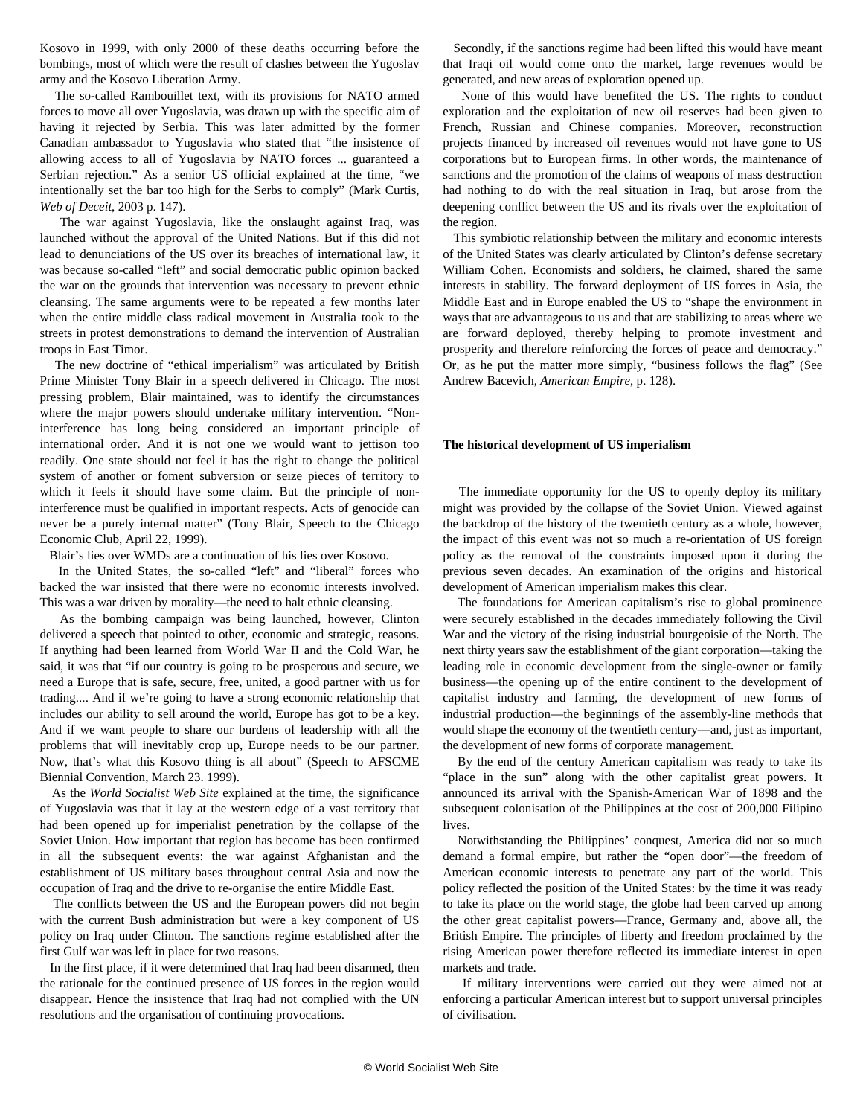Kosovo in 1999, with only 2000 of these deaths occurring before the bombings, most of which were the result of clashes between the Yugoslav army and the Kosovo Liberation Army.

 The so-called Rambouillet text, with its provisions for NATO armed forces to move all over Yugoslavia, was drawn up with the specific aim of having it rejected by Serbia. This was later admitted by the former Canadian ambassador to Yugoslavia who stated that "the insistence of allowing access to all of Yugoslavia by NATO forces ... guaranteed a Serbian rejection." As a senior US official explained at the time, "we intentionally set the bar too high for the Serbs to comply" (Mark Curtis, *Web of Deceit*, 2003 p. 147).

 The war against Yugoslavia, like the onslaught against Iraq, was launched without the approval of the United Nations. But if this did not lead to denunciations of the US over its breaches of international law, it was because so-called "left" and social democratic public opinion backed the war on the grounds that intervention was necessary to prevent ethnic cleansing. The same arguments were to be repeated a few months later when the entire middle class radical movement in Australia took to the streets in protest demonstrations to demand the intervention of Australian troops in East Timor.

 The new doctrine of "ethical imperialism" was articulated by British Prime Minister Tony Blair in a speech delivered in Chicago. The most pressing problem, Blair maintained, was to identify the circumstances where the major powers should undertake military intervention. "Noninterference has long being considered an important principle of international order. And it is not one we would want to jettison too readily. One state should not feel it has the right to change the political system of another or foment subversion or seize pieces of territory to which it feels it should have some claim. But the principle of noninterference must be qualified in important respects. Acts of genocide can never be a purely internal matter" (Tony Blair, Speech to the Chicago Economic Club, April 22, 1999).

Blair's lies over WMDs are a continuation of his lies over Kosovo.

 In the United States, the so-called "left" and "liberal" forces who backed the war insisted that there were no economic interests involved. This was a war driven by morality—the need to halt ethnic cleansing.

 As the bombing campaign was being launched, however, Clinton delivered a speech that pointed to other, economic and strategic, reasons. If anything had been learned from World War II and the Cold War, he said, it was that "if our country is going to be prosperous and secure, we need a Europe that is safe, secure, free, united, a good partner with us for trading.... And if we're going to have a strong economic relationship that includes our ability to sell around the world, Europe has got to be a key. And if we want people to share our burdens of leadership with all the problems that will inevitably crop up, Europe needs to be our partner. Now, that's what this Kosovo thing is all about" (Speech to AFSCME Biennial Convention, March 23. 1999).

 As the *World Socialist Web Site* explained at the time, the significance of Yugoslavia was that it lay at the western edge of a vast territory that had been opened up for imperialist penetration by the collapse of the Soviet Union. How important that region has become has been confirmed in all the subsequent events: the war against Afghanistan and the establishment of US military bases throughout central Asia and now the occupation of Iraq and the drive to re-organise the entire Middle East.

 The conflicts between the US and the European powers did not begin with the current Bush administration but were a key component of US policy on Iraq under Clinton. The sanctions regime established after the first Gulf war was left in place for two reasons.

 In the first place, if it were determined that Iraq had been disarmed, then the rationale for the continued presence of US forces in the region would disappear. Hence the insistence that Iraq had not complied with the UN resolutions and the organisation of continuing provocations.

 Secondly, if the sanctions regime had been lifted this would have meant that Iraqi oil would come onto the market, large revenues would be generated, and new areas of exploration opened up.

 None of this would have benefited the US. The rights to conduct exploration and the exploitation of new oil reserves had been given to French, Russian and Chinese companies. Moreover, reconstruction projects financed by increased oil revenues would not have gone to US corporations but to European firms. In other words, the maintenance of sanctions and the promotion of the claims of weapons of mass destruction had nothing to do with the real situation in Iraq, but arose from the deepening conflict between the US and its rivals over the exploitation of the region.

 This symbiotic relationship between the military and economic interests of the United States was clearly articulated by Clinton's defense secretary William Cohen. Economists and soldiers, he claimed, shared the same interests in stability. The forward deployment of US forces in Asia, the Middle East and in Europe enabled the US to "shape the environment in ways that are advantageous to us and that are stabilizing to areas where we are forward deployed, thereby helping to promote investment and prosperity and therefore reinforcing the forces of peace and democracy." Or, as he put the matter more simply, "business follows the flag" (See Andrew Bacevich, *American Empire*, p. 128).

#### **The historical development of US imperialism**

 The immediate opportunity for the US to openly deploy its military might was provided by the collapse of the Soviet Union. Viewed against the backdrop of the history of the twentieth century as a whole, however, the impact of this event was not so much a re-orientation of US foreign policy as the removal of the constraints imposed upon it during the previous seven decades. An examination of the origins and historical development of American imperialism makes this clear.

 The foundations for American capitalism's rise to global prominence were securely established in the decades immediately following the Civil War and the victory of the rising industrial bourgeoisie of the North. The next thirty years saw the establishment of the giant corporation—taking the leading role in economic development from the single-owner or family business—the opening up of the entire continent to the development of capitalist industry and farming, the development of new forms of industrial production—the beginnings of the assembly-line methods that would shape the economy of the twentieth century—and, just as important, the development of new forms of corporate management.

 By the end of the century American capitalism was ready to take its "place in the sun" along with the other capitalist great powers. It announced its arrival with the Spanish-American War of 1898 and the subsequent colonisation of the Philippines at the cost of 200,000 Filipino lives.

 Notwithstanding the Philippines' conquest, America did not so much demand a formal empire, but rather the "open door"—the freedom of American economic interests to penetrate any part of the world. This policy reflected the position of the United States: by the time it was ready to take its place on the world stage, the globe had been carved up among the other great capitalist powers—France, Germany and, above all, the British Empire. The principles of liberty and freedom proclaimed by the rising American power therefore reflected its immediate interest in open markets and trade.

 If military interventions were carried out they were aimed not at enforcing a particular American interest but to support universal principles of civilisation.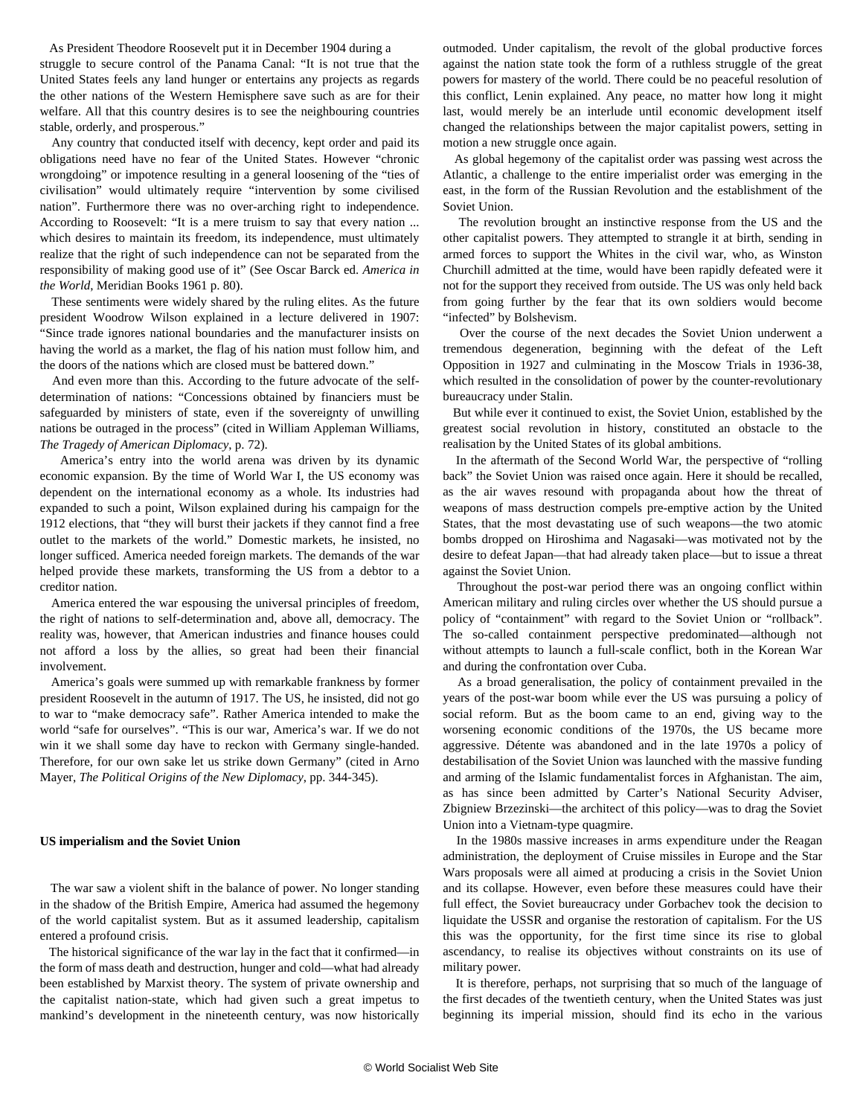As President Theodore Roosevelt put it in December 1904 during a struggle to secure control of the Panama Canal: "It is not true that the United States feels any land hunger or entertains any projects as regards the other nations of the Western Hemisphere save such as are for their welfare. All that this country desires is to see the neighbouring countries stable, orderly, and prosperous."

 Any country that conducted itself with decency, kept order and paid its obligations need have no fear of the United States. However "chronic wrongdoing" or impotence resulting in a general loosening of the "ties of civilisation" would ultimately require "intervention by some civilised nation". Furthermore there was no over-arching right to independence. According to Roosevelt: "It is a mere truism to say that every nation ... which desires to maintain its freedom, its independence, must ultimately realize that the right of such independence can not be separated from the responsibility of making good use of it" (See Oscar Barck ed. *America in the World*, Meridian Books 1961 p. 80).

 These sentiments were widely shared by the ruling elites. As the future president Woodrow Wilson explained in a lecture delivered in 1907: "Since trade ignores national boundaries and the manufacturer insists on having the world as a market, the flag of his nation must follow him, and the doors of the nations which are closed must be battered down."

 And even more than this. According to the future advocate of the selfdetermination of nations: "Concessions obtained by financiers must be safeguarded by ministers of state, even if the sovereignty of unwilling nations be outraged in the process" (cited in William Appleman Williams, *The Tragedy of American Diplomacy*, p. 72).

 America's entry into the world arena was driven by its dynamic economic expansion. By the time of World War I, the US economy was dependent on the international economy as a whole. Its industries had expanded to such a point, Wilson explained during his campaign for the 1912 elections, that "they will burst their jackets if they cannot find a free outlet to the markets of the world." Domestic markets, he insisted, no longer sufficed. America needed foreign markets. The demands of the war helped provide these markets, transforming the US from a debtor to a creditor nation.

 America entered the war espousing the universal principles of freedom, the right of nations to self-determination and, above all, democracy. The reality was, however, that American industries and finance houses could not afford a loss by the allies, so great had been their financial involvement.

 America's goals were summed up with remarkable frankness by former president Roosevelt in the autumn of 1917. The US, he insisted, did not go to war to "make democracy safe". Rather America intended to make the world "safe for ourselves". "This is our war, America's war. If we do not win it we shall some day have to reckon with Germany single-handed. Therefore, for our own sake let us strike down Germany" (cited in Arno Mayer, *The Political Origins of the New Diplomacy*, pp. 344-345).

#### **US imperialism and the Soviet Union**

 The war saw a violent shift in the balance of power. No longer standing in the shadow of the British Empire, America had assumed the hegemony of the world capitalist system. But as it assumed leadership, capitalism entered a profound crisis.

 The historical significance of the war lay in the fact that it confirmed—in the form of mass death and destruction, hunger and cold—what had already been established by Marxist theory. The system of private ownership and the capitalist nation-state, which had given such a great impetus to mankind's development in the nineteenth century, was now historically outmoded. Under capitalism, the revolt of the global productive forces against the nation state took the form of a ruthless struggle of the great powers for mastery of the world. There could be no peaceful resolution of this conflict, Lenin explained. Any peace, no matter how long it might last, would merely be an interlude until economic development itself changed the relationships between the major capitalist powers, setting in motion a new struggle once again.

 As global hegemony of the capitalist order was passing west across the Atlantic, a challenge to the entire imperialist order was emerging in the east, in the form of the Russian Revolution and the establishment of the Soviet Union.

 The revolution brought an instinctive response from the US and the other capitalist powers. They attempted to strangle it at birth, sending in armed forces to support the Whites in the civil war, who, as Winston Churchill admitted at the time, would have been rapidly defeated were it not for the support they received from outside. The US was only held back from going further by the fear that its own soldiers would become "infected" by Bolshevism.

 Over the course of the next decades the Soviet Union underwent a tremendous degeneration, beginning with the defeat of the Left Opposition in 1927 and culminating in the Moscow Trials in 1936-38, which resulted in the consolidation of power by the counter-revolutionary bureaucracy under Stalin.

 But while ever it continued to exist, the Soviet Union, established by the greatest social revolution in history, constituted an obstacle to the realisation by the United States of its global ambitions.

 In the aftermath of the Second World War, the perspective of "rolling back" the Soviet Union was raised once again. Here it should be recalled, as the air waves resound with propaganda about how the threat of weapons of mass destruction compels pre-emptive action by the United States, that the most devastating use of such weapons—the two atomic bombs dropped on Hiroshima and Nagasaki—was motivated not by the desire to defeat Japan—that had already taken place—but to issue a threat against the Soviet Union.

 Throughout the post-war period there was an ongoing conflict within American military and ruling circles over whether the US should pursue a policy of "containment" with regard to the Soviet Union or "rollback". The so-called containment perspective predominated—although not without attempts to launch a full-scale conflict, both in the Korean War and during the confrontation over Cuba.

 As a broad generalisation, the policy of containment prevailed in the years of the post-war boom while ever the US was pursuing a policy of social reform. But as the boom came to an end, giving way to the worsening economic conditions of the 1970s, the US became more aggressive. Détente was abandoned and in the late 1970s a policy of destabilisation of the Soviet Union was launched with the massive funding and arming of the Islamic fundamentalist forces in Afghanistan. The aim, as has since been admitted by Carter's National Security Adviser, Zbigniew Brzezinski—the architect of this policy—was to drag the Soviet Union into a Vietnam-type quagmire.

 In the 1980s massive increases in arms expenditure under the Reagan administration, the deployment of Cruise missiles in Europe and the Star Wars proposals were all aimed at producing a crisis in the Soviet Union and its collapse. However, even before these measures could have their full effect, the Soviet bureaucracy under Gorbachev took the decision to liquidate the USSR and organise the restoration of capitalism. For the US this was the opportunity, for the first time since its rise to global ascendancy, to realise its objectives without constraints on its use of military power.

 It is therefore, perhaps, not surprising that so much of the language of the first decades of the twentieth century, when the United States was just beginning its imperial mission, should find its echo in the various